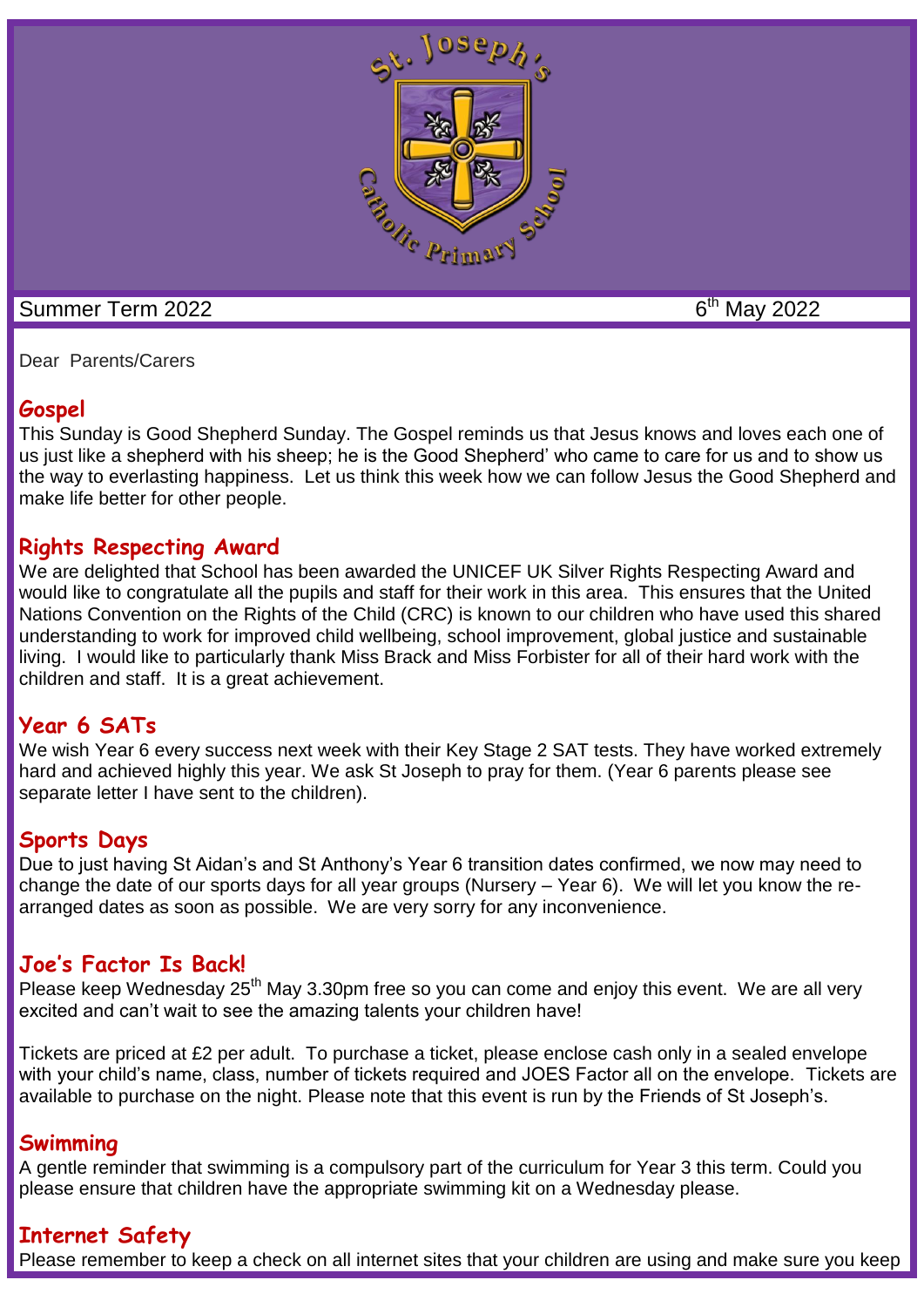

#### Summer Term 2022 6

 $6<sup>th</sup>$  May 2022

Dear Parents/Carers

# **Gospel**

This Sunday is Good Shepherd Sunday. The Gospel reminds us that Jesus knows and loves each one of us just like a shepherd with his sheep; he is the Good Shepherd' who came to care for us and to show us the way to everlasting happiness. Let us think this week how we can follow Jesus the Good Shepherd and make life better for other people.

# **Rights Respecting Award**

We are delighted that School has been awarded the UNICEF UK Silver Rights Respecting Award and would like to congratulate all the pupils and staff for their work in this area. This ensures that the United Nations Convention on the Rights of the Child (CRC) is known to our children who have used this shared understanding to work for improved child wellbeing, school improvement, global justice and sustainable living. I would like to particularly thank Miss Brack and Miss Forbister for all of their hard work with the children and staff. It is a great achievement.

# **Year 6 SATs**

We wish Year 6 every success next week with their Key Stage 2 SAT tests. They have worked extremely hard and achieved highly this year. We ask St Joseph to pray for them. (Year 6 parents please see separate letter I have sent to the children).

# **Sports Days**

Due to just having St Aidan's and St Anthony's Year 6 transition dates confirmed, we now may need to change the date of our sports days for all year groups (Nursery – Year 6). We will let you know the rearranged dates as soon as possible. We are very sorry for any inconvenience.

# **Joe's Factor Is Back!**

Please keep Wednesday 25<sup>th</sup> May 3.30pm free so you can come and enjoy this event. We are all very excited and can't wait to see the amazing talents your children have!

Tickets are priced at £2 per adult. To purchase a ticket, please enclose cash only in a sealed envelope with your child's name, class, number of tickets required and JOES Factor all on the envelope. Tickets are available to purchase on the night. Please note that this event is run by the Friends of St Joseph's.

# **Swimming**

A gentle reminder that swimming is a compulsory part of the curriculum for Year 3 this term. Could you please ensure that children have the appropriate swimming kit on a Wednesday please.

# **Internet Safety**

Please remember to keep a check on all internet sites that your children are using and make sure you keep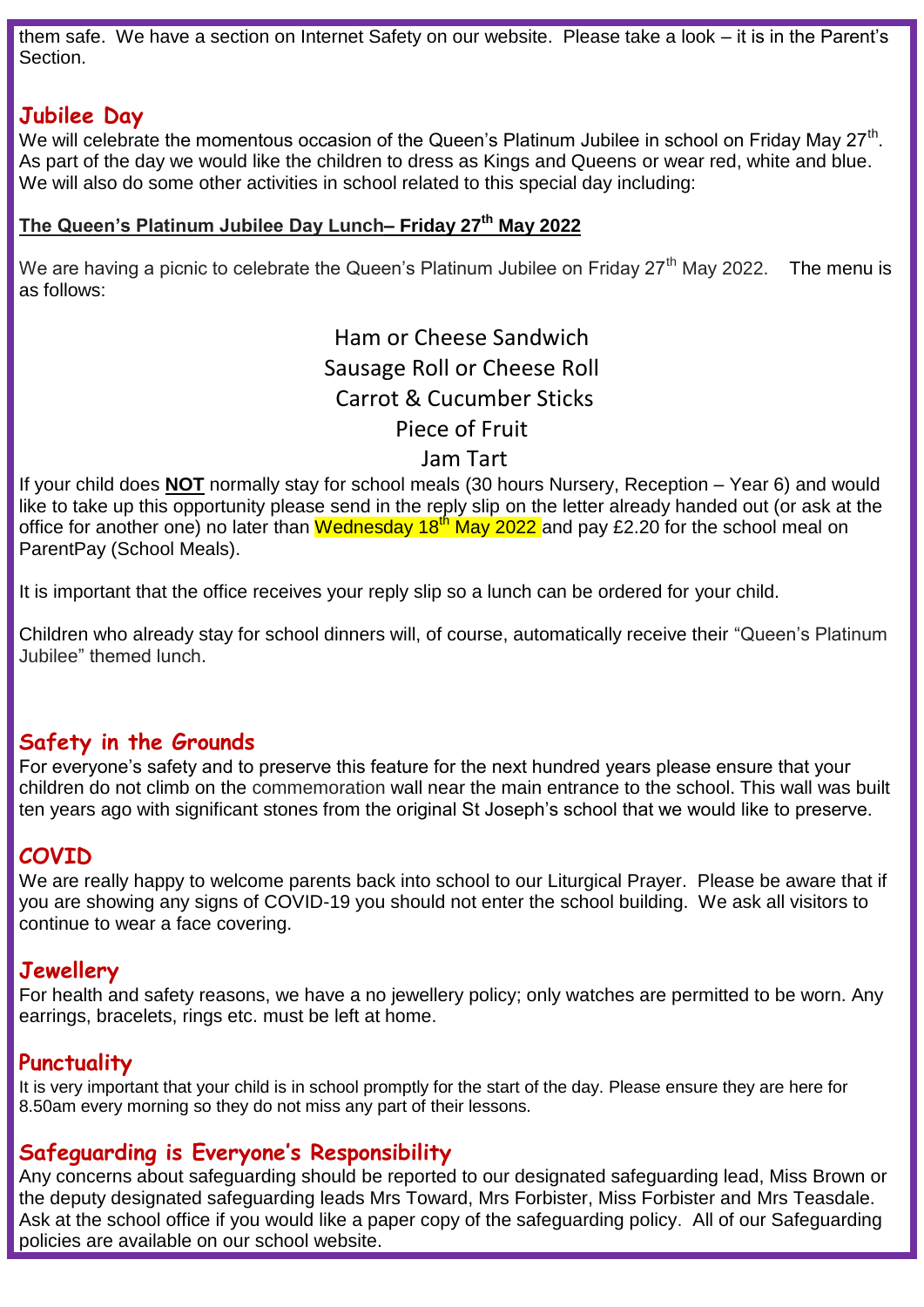them safe. We have a section on Internet Safety on our website. Please take a look – it is in the Parent's **Section** 

# **Jubilee Day**

We will celebrate the momentous occasion of the Queen's Platinum Jubilee in school on Friday May 27<sup>th</sup>. As part of the day we would like the children to dress as Kings and Queens or wear red, white and blue. We will also do some other activities in school related to this special day including:

#### **The Queen's Platinum Jubilee Day Lunch– Friday 27th May 2022**

We are having a picnic to celebrate the Queen's Platinum Jubilee on Friday 27<sup>th</sup> May 2022. The menu is as follows:

> Ham or Cheese Sandwich Sausage Roll or Cheese Roll Carrot & Cucumber Sticks Piece of Fruit

#### Jam Tart

If your child does **NOT** normally stay for school meals (30 hours Nursery, Reception – Year 6) and would like to take up this opportunity please send in the reply slip on the letter already handed out (or ask at the office for another one) no later than Wednesday  $18<sup>th</sup>$  May 2022 and pay £2.20 for the school meal on ParentPay (School Meals).

It is important that the office receives your reply slip so a lunch can be ordered for your child.

Children who already stay for school dinners will, of course, automatically receive their "Queen's Platinum Jubilee" themed lunch.

# **Safety in the Grounds**

For everyone's safety and to preserve this feature for the next hundred years please ensure that your children do not climb on the commemoration wall near the main entrance to the school. This wall was built ten years ago with significant stones from the original St Joseph's school that we would like to preserve.

# **COVID**

We are really happy to welcome parents back into school to our Liturgical Prayer. Please be aware that if you are showing any signs of COVID-19 you should not enter the school building. We ask all visitors to continue to wear a face covering.

# **Jewellery**

For health and safety reasons, we have a no jewellery policy; only watches are permitted to be worn. Any earrings, bracelets, rings etc. must be left at home.

# **Punctuality**

It is very important that your child is in school promptly for the start of the day. Please ensure they are here for 8.50am every morning so they do not miss any part of their lessons.

# **Safeguarding is Everyone's Responsibility**

Any concerns about safeguarding should be reported to our designated safeguarding lead, Miss Brown or the deputy designated safeguarding leads Mrs Toward, Mrs Forbister, Miss Forbister and Mrs Teasdale. Ask at the school office if you would like a paper copy of the safeguarding policy. All of our Safeguarding policies are available on our school website.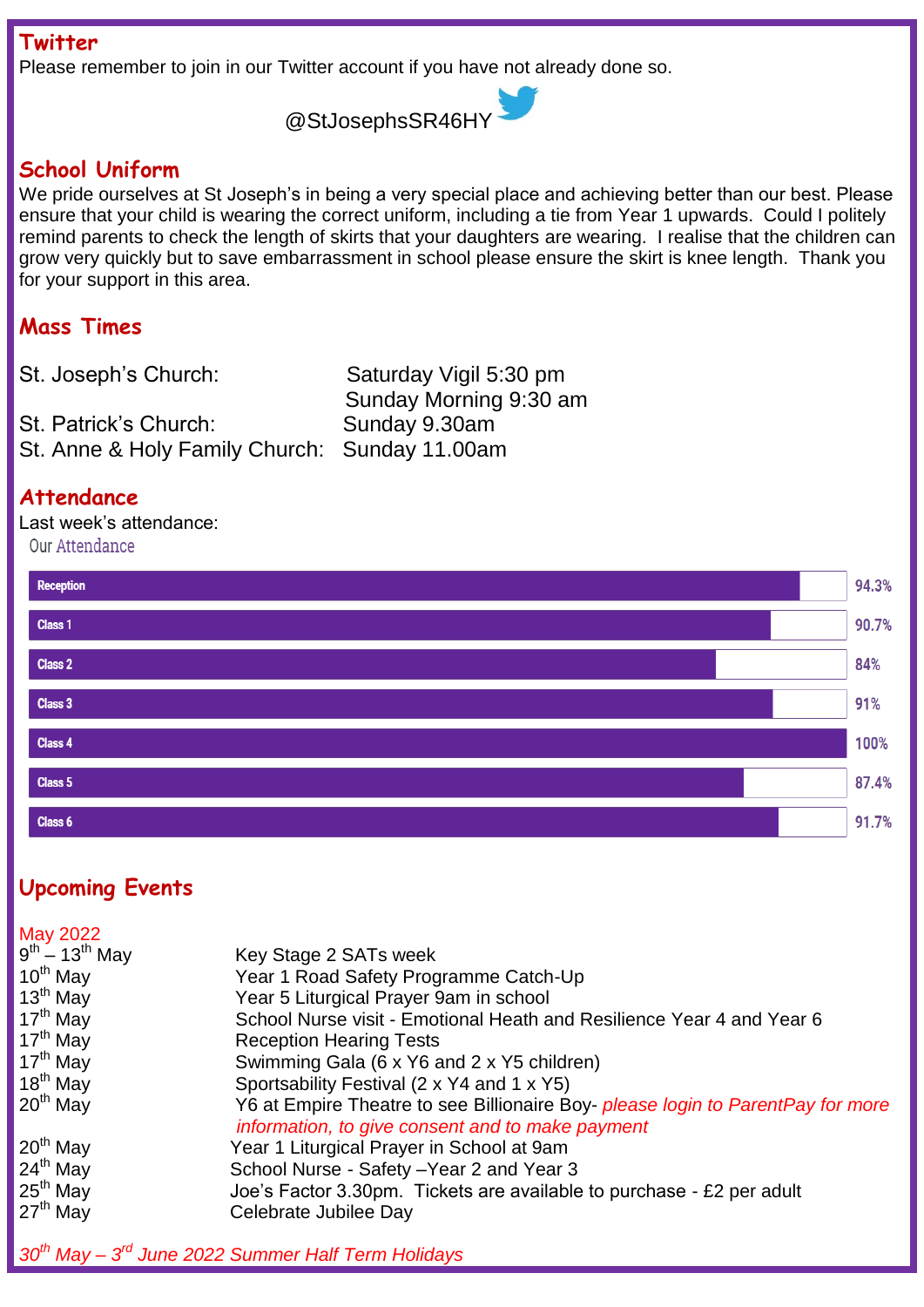**Twitter**

Please remember to join in our Twitter account if you have not already done so.

@StJosephsSR46HY

#### **School Uniform**

We pride ourselves at St Joseph's in being a very special place and achieving better than our best. Please ensure that your child is wearing the correct uniform, including a tie from Year 1 upwards. Could I politely remind parents to check the length of skirts that your daughters are wearing. I realise that the children can grow very quickly but to save embarrassment in school please ensure the skirt is knee length. Thank you for your support in this area.

# **Mass Times**

| St. Joseph's Church:                          | Saturday Vigil 5:30 pm |
|-----------------------------------------------|------------------------|
|                                               | Sunday Morning 9:30 am |
| St. Patrick's Church:                         | Sunday 9.30am          |
| St. Anne & Holy Family Church: Sunday 11.00am |                        |

#### **Attendance**

Last week's attendance:

Our Attendance



# **Upcoming Events**

| May 2022                        |                                                                                                                                     |
|---------------------------------|-------------------------------------------------------------------------------------------------------------------------------------|
| $9^{th}$ – 13 <sup>th</sup> May | Key Stage 2 SATs week                                                                                                               |
| $10^{th}$ May                   | Year 1 Road Safety Programme Catch-Up                                                                                               |
| $13th$ May                      | Year 5 Liturgical Prayer 9am in school                                                                                              |
| 17 <sup>th</sup> May            | School Nurse visit - Emotional Heath and Resilience Year 4 and Year 6                                                               |
| $17th$ May                      | <b>Reception Hearing Tests</b>                                                                                                      |
| 17 <sup>th</sup> May            | Swimming Gala (6 x Y6 and 2 x Y5 children)                                                                                          |
| 18 <sup>th</sup> May            | Sportsability Festival (2 x Y4 and 1 x Y5)                                                                                          |
| $20th$ May                      | Y6 at Empire Theatre to see Billionaire Boy- please login to ParentPay for more<br>information, to give consent and to make payment |
| $20th$ May                      | Year 1 Liturgical Prayer in School at 9am                                                                                           |
| $24th$ May                      | School Nurse - Safety - Year 2 and Year 3                                                                                           |
| $25th$ May                      | Joe's Factor 3.30pm. Tickets are available to purchase - £2 per adult                                                               |
| $27th$ May                      | Celebrate Jubilee Day                                                                                                               |
|                                 |                                                                                                                                     |

# *30th May – 3 rd June 2022 Summer Half Term Holidays*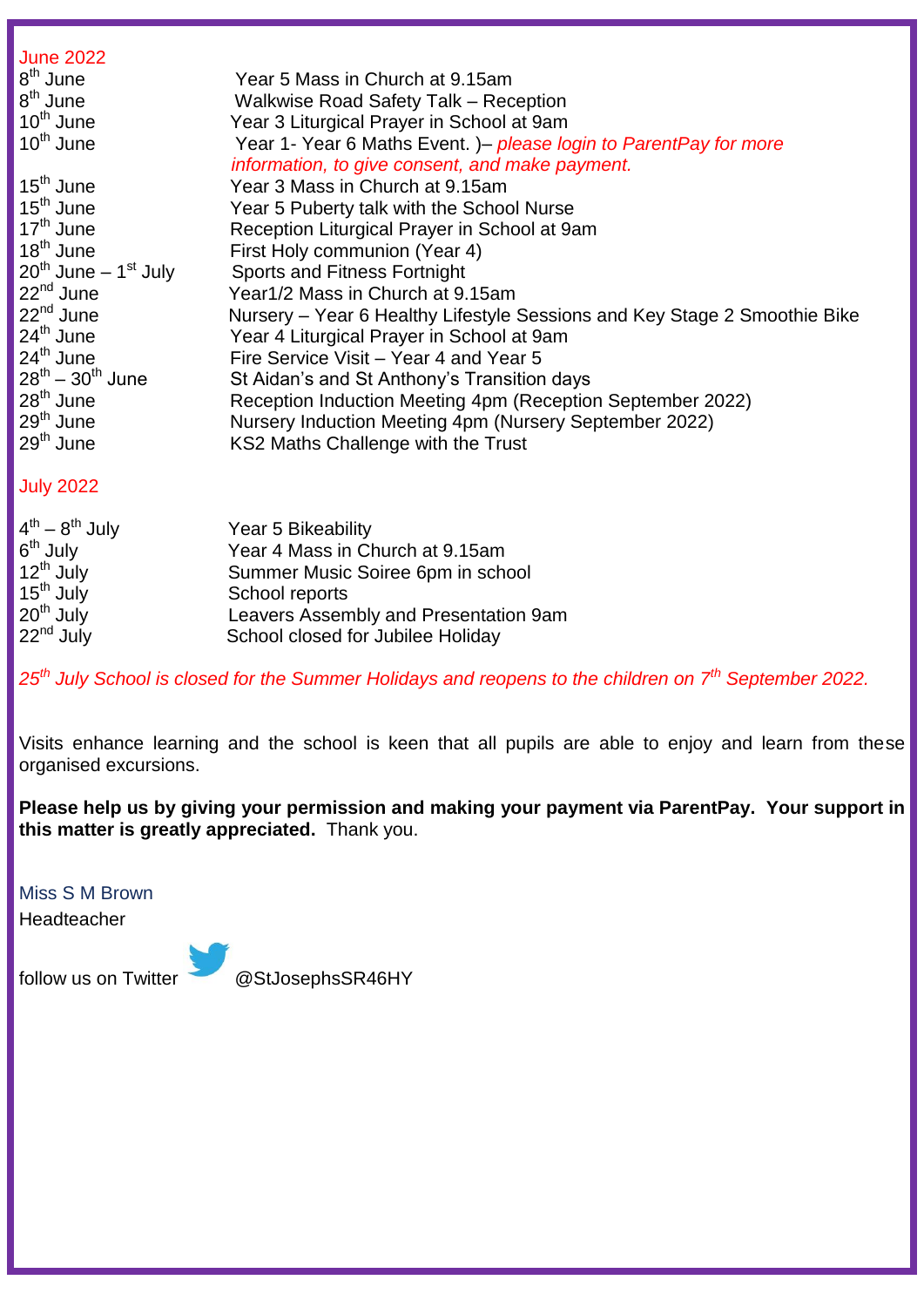| <b>June 2022</b>                      |                                                                           |
|---------------------------------------|---------------------------------------------------------------------------|
| $8th$ June                            | Year 5 Mass in Church at 9.15am                                           |
| 8 <sup>th</sup> June                  | Walkwise Road Safety Talk - Reception                                     |
| $10^{th}$ June                        | Year 3 Liturgical Prayer in School at 9am                                 |
| $10^{th}$ June                        | Year 1- Year 6 Maths Event. )– please login to ParentPay for more         |
|                                       | information, to give consent, and make payment.                           |
| $15^{\text{th}}$ June                 | Year 3 Mass in Church at 9.15am                                           |
| $15^{\text{th}}$ June                 | Year 5 Puberty talk with the School Nurse                                 |
| 17 <sup>th</sup> June                 | Reception Liturgical Prayer in School at 9am                              |
| $18^{\text{th}}$ June                 | First Holy communion (Year 4)                                             |
| $20^{th}$ June – 1 <sup>st</sup> July | <b>Sports and Fitness Fortnight</b>                                       |
| 22 <sup>nd</sup> June                 | Year1/2 Mass in Church at 9.15am                                          |
| 22 <sup>nd</sup> June                 | Nursery – Year 6 Healthy Lifestyle Sessions and Key Stage 2 Smoothie Bike |
| $24th$ June                           | Year 4 Liturgical Prayer in School at 9am                                 |
| 24 <sup>th</sup> June                 | Fire Service Visit – Year 4 and Year 5                                    |
| $28^{th} - 30^{th}$ June              | St Aidan's and St Anthony's Transition days                               |
| $28th$ June                           | Reception Induction Meeting 4pm (Reception September 2022)                |
| 29 <sup>th</sup> June                 | Nursery Induction Meeting 4pm (Nursery September 2022)                    |
| $29th$ June                           | KS2 Maths Challenge with the Trust                                        |
|                                       |                                                                           |

#### July 2022

| $4^{th} - 8^{th}$ July | Year 5 Bikeability                    |
|------------------------|---------------------------------------|
| $6th$ July             | Year 4 Mass in Church at 9.15am       |
| $12^{th}$ July         | Summer Music Soiree 6pm in school     |
| 15 <sup>th</sup> July  | School reports                        |
| $20th$ July            | Leavers Assembly and Presentation 9am |
| $22nd$ July            | School closed for Jubilee Holiday     |

*25th July School is closed for the Summer Holidays and reopens to the children on 7th September 2022.*

Visits enhance learning and the school is keen that all pupils are able to enjoy and learn from these organised excursions.

**Please help us by giving your permission and making your payment via ParentPay. Your support in this matter is greatly appreciated.** Thank you.

Miss S M Brown

Headteacher

follow us on Twitter @StJosephsSR46HY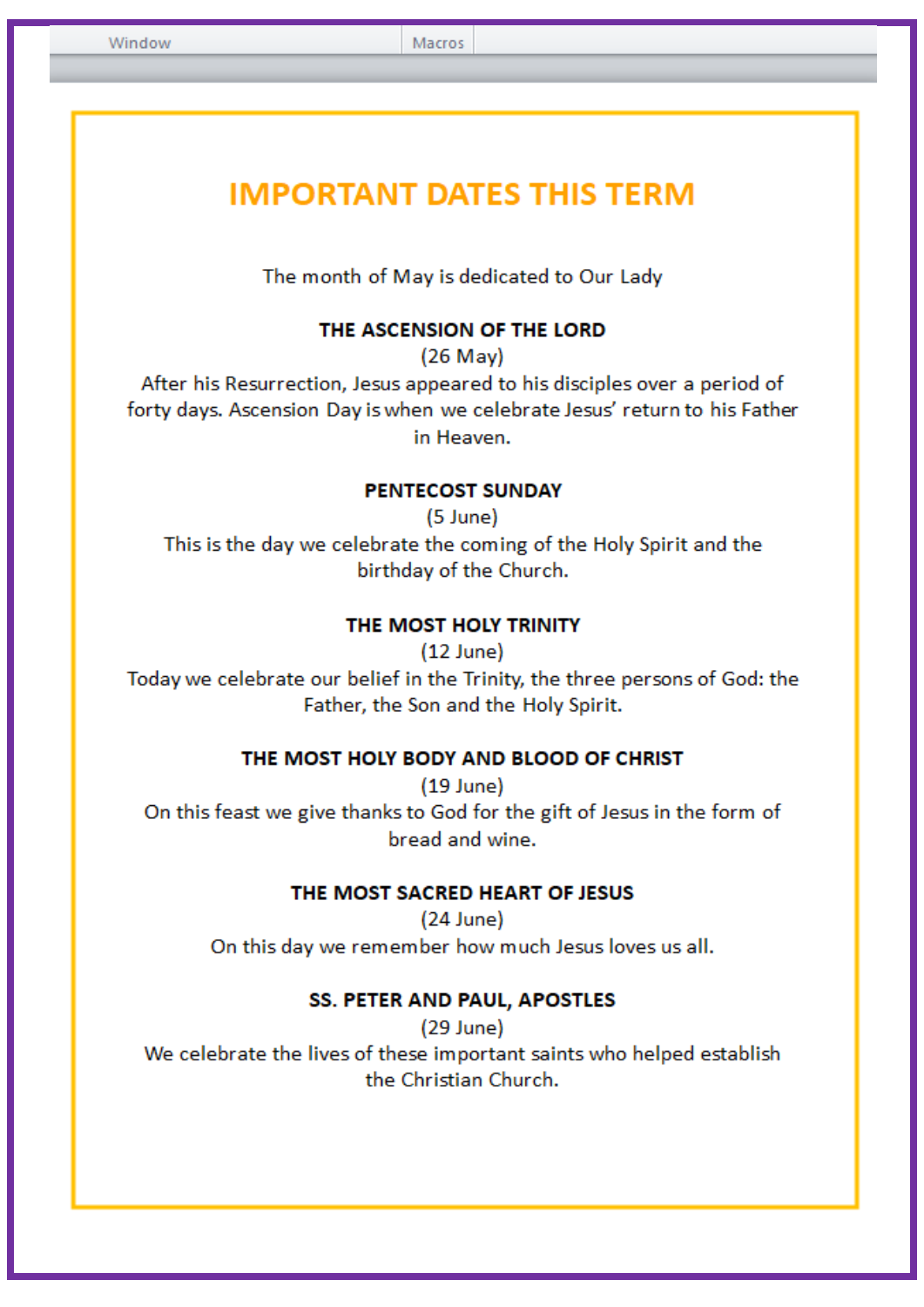Macros

# **IMPORTANT DATES THIS TERM**

The month of May is dedicated to Our Lady

#### THE ASCENSION OF THE LORD

 $(26$  May)

After his Resurrection, Jesus appeared to his disciples over a period of forty days. Ascension Day is when we celebrate Jesus' return to his Father in Heaven.

#### **PENTECOST SUNDAY**

 $(5$  June) This is the day we celebrate the coming of the Holy Spirit and the birthday of the Church.

#### THE MOST HOLY TRINITY

 $(12$  June) Today we celebrate our belief in the Trinity, the three persons of God: the Father, the Son and the Holy Spirit.

#### THE MOST HOLY BODY AND BLOOD OF CHRIST

 $(19$  June) On this feast we give thanks to God for the gift of Jesus in the form of bread and wine.

#### THE MOST SACRED HEART OF JESUS

 $(24$  June) On this day we remember how much Jesus loves us all.

#### SS. PETER AND PAUL, APOSTLES

 $(29$  June) We celebrate the lives of these important saints who helped establish the Christian Church.